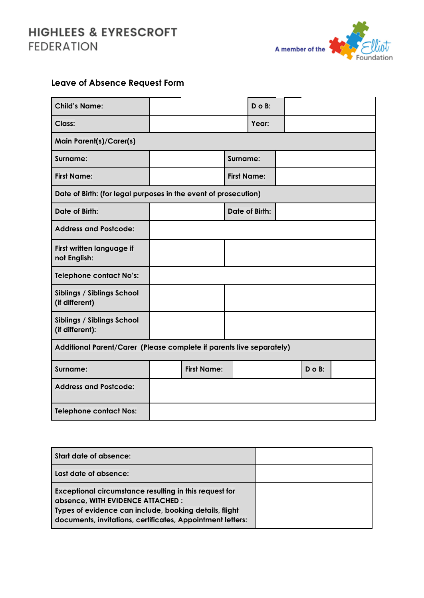## **HIGHLEES & EYRESCROFT FEDERATION**



## **Leave of Absence Request Form**

| <b>Child's Name:</b>                                                 |                       |                    |       | $D$ o $B$ : |  |             |  |
|----------------------------------------------------------------------|-----------------------|--------------------|-------|-------------|--|-------------|--|
| Class:                                                               |                       |                    | Year: |             |  |             |  |
| <b>Main Parent(s)/Carer(s)</b>                                       |                       |                    |       |             |  |             |  |
| Surname:                                                             | Surname:              |                    |       |             |  |             |  |
| <b>First Name:</b>                                                   | <b>First Name:</b>    |                    |       |             |  |             |  |
| Date of Birth: (for legal purposes in the event of prosecution)      |                       |                    |       |             |  |             |  |
| <b>Date of Birth:</b>                                                | <b>Date of Birth:</b> |                    |       |             |  |             |  |
| <b>Address and Postcode:</b>                                         |                       |                    |       |             |  |             |  |
| First written language if<br>not English:                            |                       |                    |       |             |  |             |  |
| <b>Telephone contact No's:</b>                                       |                       |                    |       |             |  |             |  |
| Siblings / Siblings School<br>(if different)                         |                       |                    |       |             |  |             |  |
| <b>Siblings / Siblings School</b><br>(if different):                 |                       |                    |       |             |  |             |  |
| Additional Parent/Carer (Please complete if parents live separately) |                       |                    |       |             |  |             |  |
| Surname:                                                             |                       | <b>First Name:</b> |       |             |  | $D$ o $B$ : |  |
| <b>Address and Postcode:</b>                                         |                       |                    |       |             |  |             |  |
| <b>Telephone contact Nos:</b>                                        |                       |                    |       |             |  |             |  |

| Start date of absence:                                                                                                                                                                                              |  |
|---------------------------------------------------------------------------------------------------------------------------------------------------------------------------------------------------------------------|--|
| Last date of absence:                                                                                                                                                                                               |  |
| Exceptional circumstance resulting in this request for<br>absence, WITH EVIDENCE ATTACHED :<br>Types of evidence can include, booking details, flight<br>documents, invitations, certificates, Appointment letters: |  |